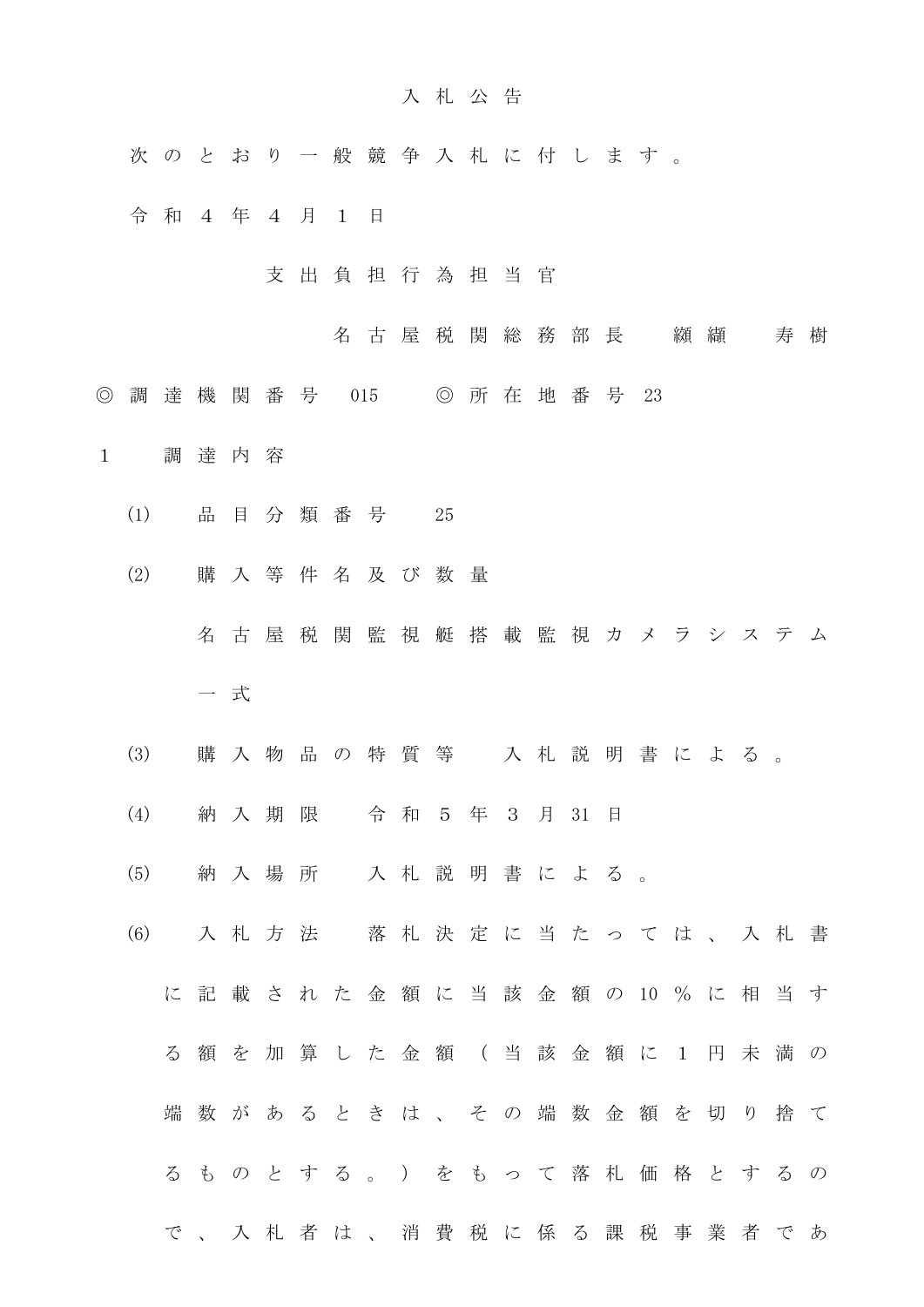## 入 札 公 告

- 次 の と お り 一 般 競 争 入 札 に 付 し ま す 。
- 令 和 4 年 4 月 1 日
	- 支 出 負 担 行 為 担 当 官
		- 名 古 屋 税 関 総 務 部 長 の 纐 纈 の 寿 樹
- ◎ 調 達 機 関 番 号 015 ◎ 所 在 地 番 号 23
- 1 調 達 内 容
	- (1) 品 目 分 類 番 号 25
	- (2) 購 入 等 件 名 及 び 数 量
		- 名 古 屋 税 関 監 視 艇 搭 載 監 視 カ メ ラ シ ス テ ム 一 式
	- (3) 購 入 物 品 の 特 質 等 入 札 説 明 書 に よ る 。
	- (4) 納 入 期 限 令 和 5 年 3 月 31 日
	- (5) 納 入 場 所 入 札 説 明 書 に よ る 。
	- (6) 入 札 方 法 落 札 決 定 に 当 た っ て は 、 入 札 書
		- に 記 載 さ れ た 金 額 に 当 該 金 額 の 10 % に 相 当 す る 額 を 加 算 し た 金 額 ( 当 該 金 額 に 1 円 未 満 の
		- 端 数 が あ る と き は 、 そ の 端 数 金 額 を 切 り 捨 て る も の と す る 。 ) を も っ て 落 札 価 格 と す る の
			- で 、 入 札 者 は 、 消 費 税 に 係 る 課 税 事 業 者 で あ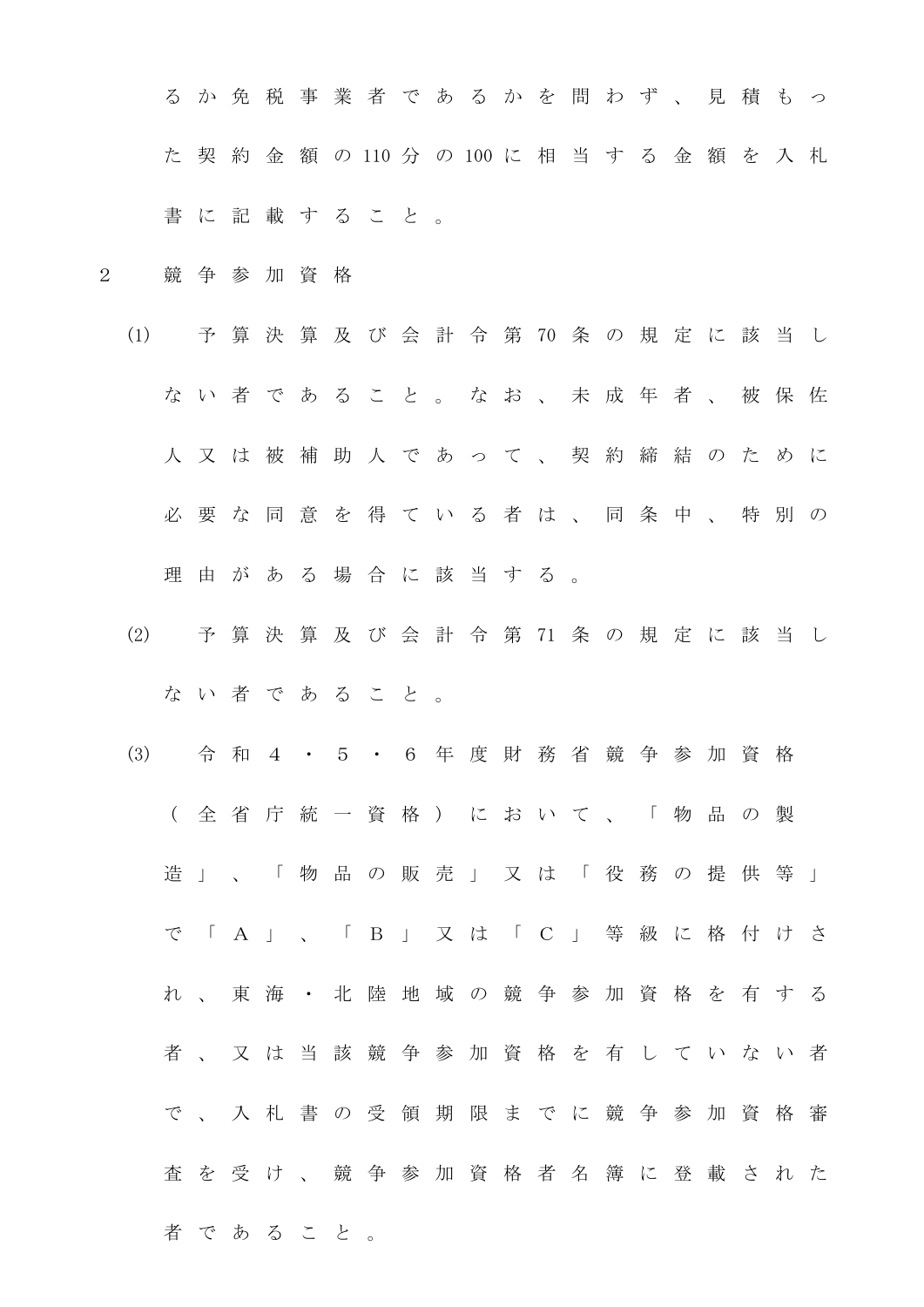る か 免 税 事 業 者 で あ る か を 問 わ ず 、 見 積 も っ た 契 約 金 額 の 110 分 の 100 に 相 当 す る 金 額 を 入 札 書 に 記 載 す る こ と 。

- 2 競 争 参 加 資 格
	- (1) 予 算 決 算 及 び 会 計 令 第 70 条 の 規 定 に 該 当 し な い 者 で あ る こ と 。 な お 、 未 成 年 者 、 被 保 佐 人 又 は 被 補 助 人 で あ っ て 、 契 約 締 結 の た め に 必 要 な 同 意 を 得 て い る 者 は 、 同 条 中 、 特 別 の 理 由 が あ る 場 合 に 該 当 す る 。
	- (2) 予 算 決 算 及 び 会 計 令 第 71 条 の 規 定 に 該 当 し な い 者 で あ る こ と 。
	- (3) 令 和 4 ・ 5 ・ 6 年 度 財 務 省 競 争 参 加 資 格 ( 全 省 庁 統 一 資 格 ) に お い て 、 「 物 品 の 製 造 」 、 「 物 品 の 販 売 」 又 は 「 役 務 の 提 供 等 」 で 「 A 」 、 「 B 」 又 は 「 C 」 等 級 に 格 付 け さ れ 、 東 海 ・ 北 陸 地 域 の 競 争 参 加 資 格 を 有 す る 者 、 又 は 当 該 競 争 参 加 資 格 を 有 し て い な い 者 で 、 入 札 書 の 受 領 期 限 ま で に 競 争 参 加 資 格 審 査 を 受 け 、 競 争 参 加 資 格 者 名 簿 に 登 載 さ れ た 者 で あ る こ と 。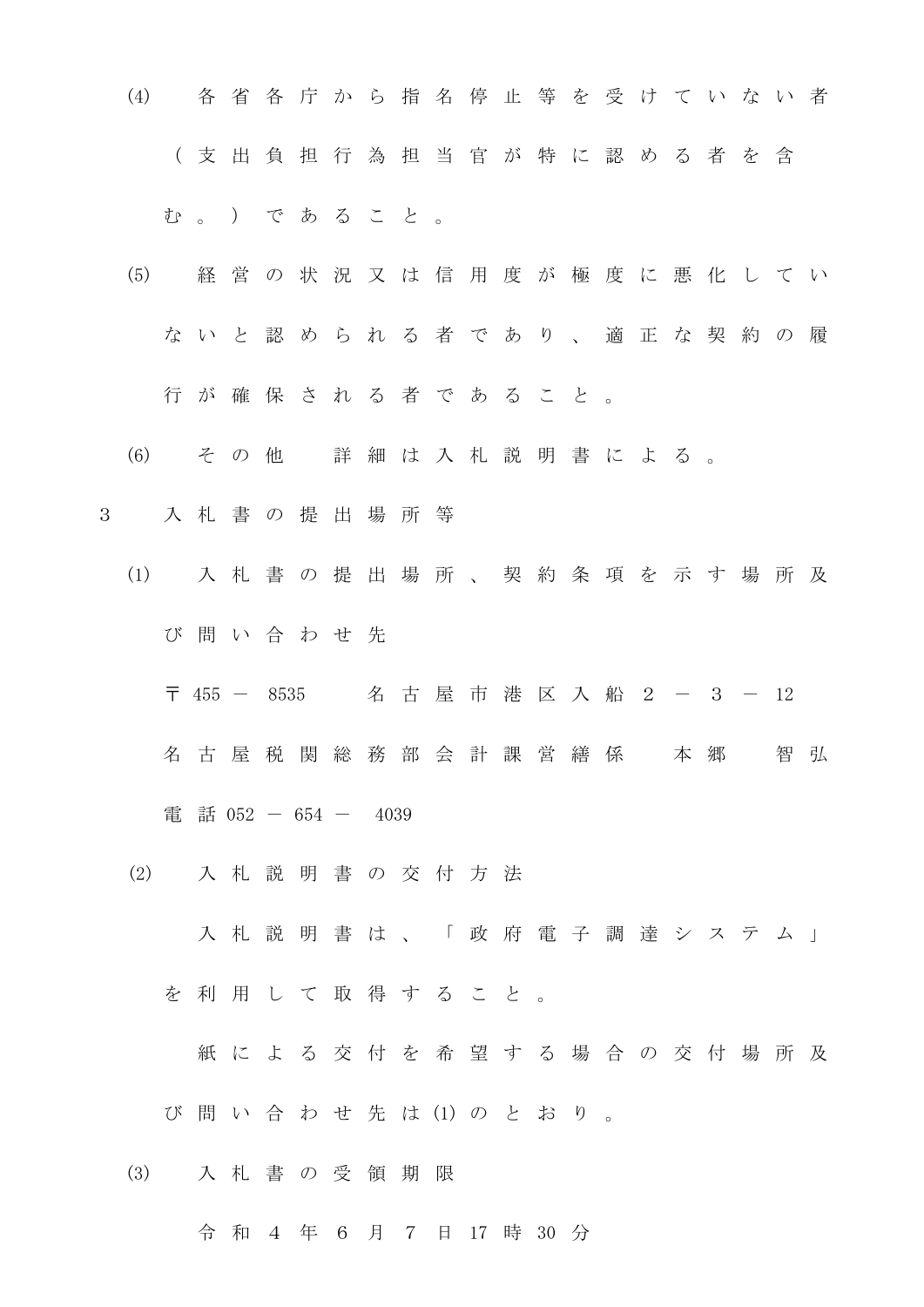- (4) 各 省 各 庁 か ら 指 名 停 止 等 を 受 け て い な い 者 ( 支 出 負 担 行 為 担 当 官 が 特 に 認 め る 者 を 含 む 。 ) で あ る こ と 。
- (5) 経 営 の 状 況 又 は 信 用 度 が 極 度 に 悪 化 し て い な い と 認 め ら れ る 者 で あ り 、 適 正 な 契 約 の 履 行 が 確 保 さ れ る 者 で あ る こ と 。
- (6) そ の 他 詳 細 は 入 札 説 明 書 に よ る 。
- 3 入 札 書 の 提 出 場 所 等
	- (1) 入 札 書 の 提 出 場 所 、 契 約 条 項 を 示 す 場 所 及 び 問 い 合 わ せ 先
		- 〒 455 8535 名古屋市港区入船2 3 12
		- 名 古 屋 税 関 総 務 部 会 計 課 営 繕 係 本 郷 智 弘
		- 電 話 052 654 4039
	- (2) 入 札 説 明 書 の 交 付 方 法

入 札 説 明 書 は 、 「 政 府 電 子 調 達 シ ス テ ム 」

を 利 用 し て 取 得 す る こ と 。

紙 に よ る 交 付 を 希 望 す る 場 合 の 交 付 場 所 及

び 問 い 合 わ せ 先 は (1) の と お り 。

(3) 入 札 書 の 受 領 期 限

令 和 4 年 6 月 7 日 17 時 30 分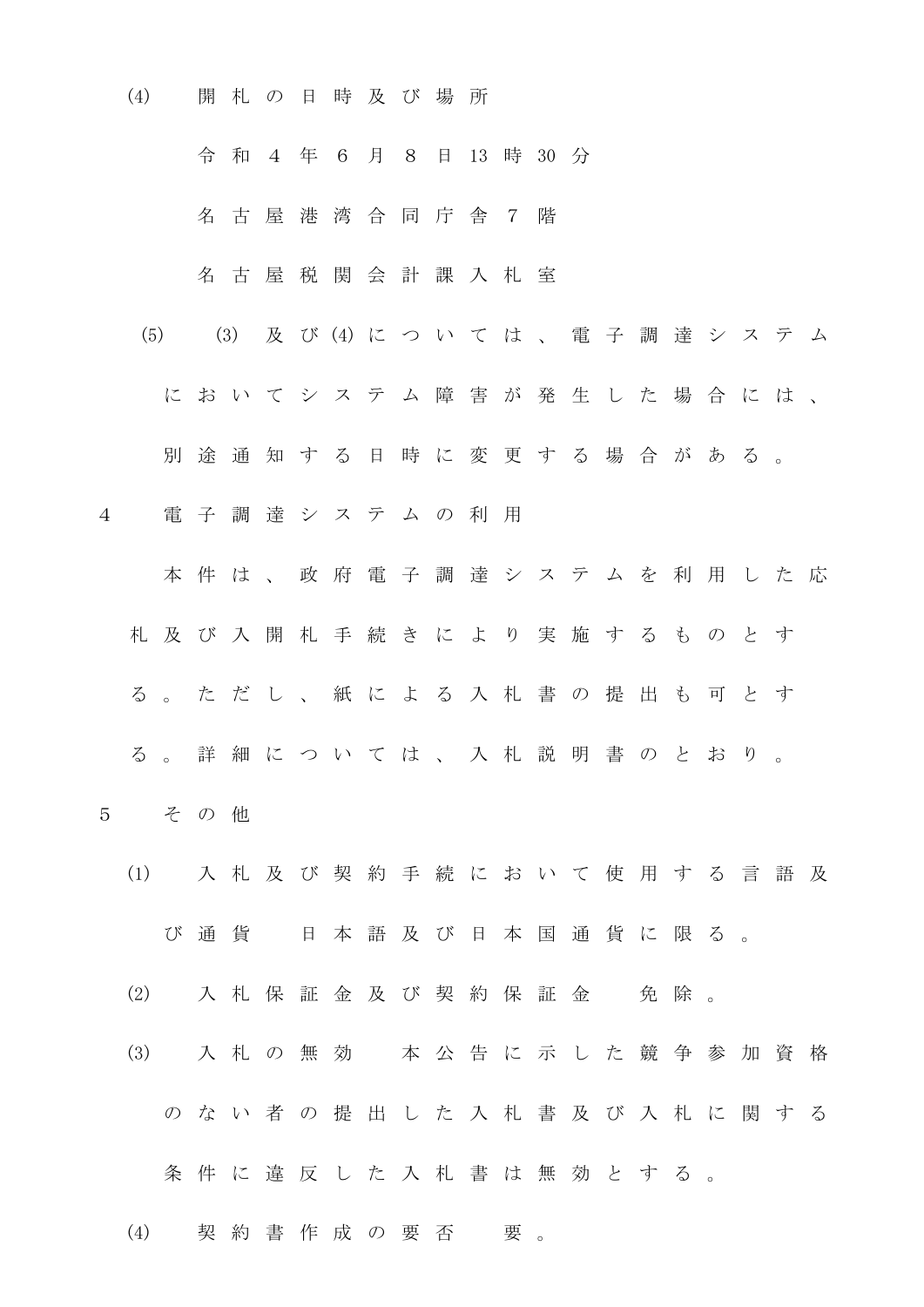(4) 開 札 の 日 時 及 び 場 所

令 和 4 年 6 月 8 日 13 時 30 分

名 古 屋 港 湾 合 同 庁 舎 7 階

名 古 屋 税 関 会 計 課 入 札 室

(5) (3) 及 び (4) に つ い て は 、 電 子 調 達 シ ス テ ム

に お い て シ ス テ ム 障 害 が 発 生 し た 場 合 に は 、

別 途 通 知 す る 日 時 に 変 更 す る 場 合 が あ る 。

4 電 子 調 達 シ ス テ ム の 利 用

本 件 は 、 政 府 電 子 調 達 シ ス テ ム を 利 用 し た 応 札 及 び 入 開 札 手 続 き に よ り 実 施 す る も の と す る 。 た だ し 、 紙 に よ る 入 札 書 の 提 出 も 可 と す る 。 詳 細 に つ い て は 、 入 札 説 明 書 の と お り 。

- 5 そ の 他
	- (1) 入 札 及 び 契 約 手 続 に お い て 使 用 す る 言 語 及 び 通 貨 日 本 語 及 び 日 本 国 通 貨 に 限 る 。
	- (2) 入札保証金及び契約保証金 免除。
	- (3) 入 札 の 無 効 本 公 告 に 示 し た 競 争 参 加 資 格 の な い 者 の 提 出 し た 入 札 書 及 び 入 札 に 関 す る
		- 条件に違反した入札書は無効とする。

(4) 契約書作成の要否 要。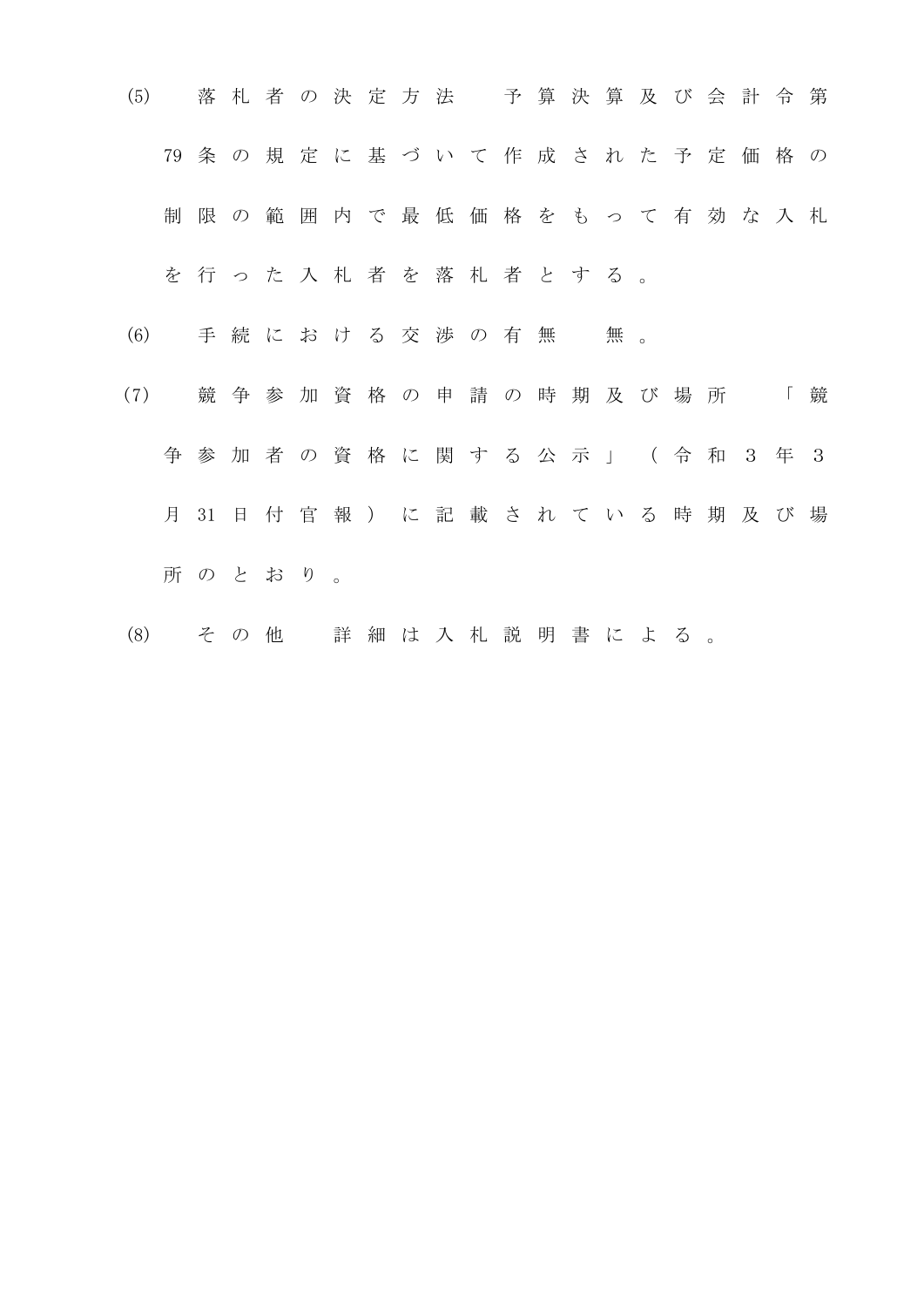- (5) 落 札 者 の 決 定 方 法 予 算 決 算 及 び 会 計 令 第 79 条 の 規 定 に 基 づ い て 作 成 さ れ た 予 定 価 格 の 制 限 の 範 囲 内 で 最 低 価 格 を も っ て 有 効 な 入 札 を 行 っ た 入 札 者 を 落 札 者 と す る 。 (6) 手続における交渉の有無 無。
- (7) 競 争 参 加 資 格 の 申 請 の 時 期 及 び 場 所 「 競 争 参 加 者 の 資 格 に 関 す る 公 示 」 ( 令 和 3 年 3 月 31 日 付 官 報 ) に 記 載 さ れ て い る 時 期 及 び 場 所 の と お り 。
- (8) そ の 他 詳 細 は 入 札 説 明 書 に よ る 。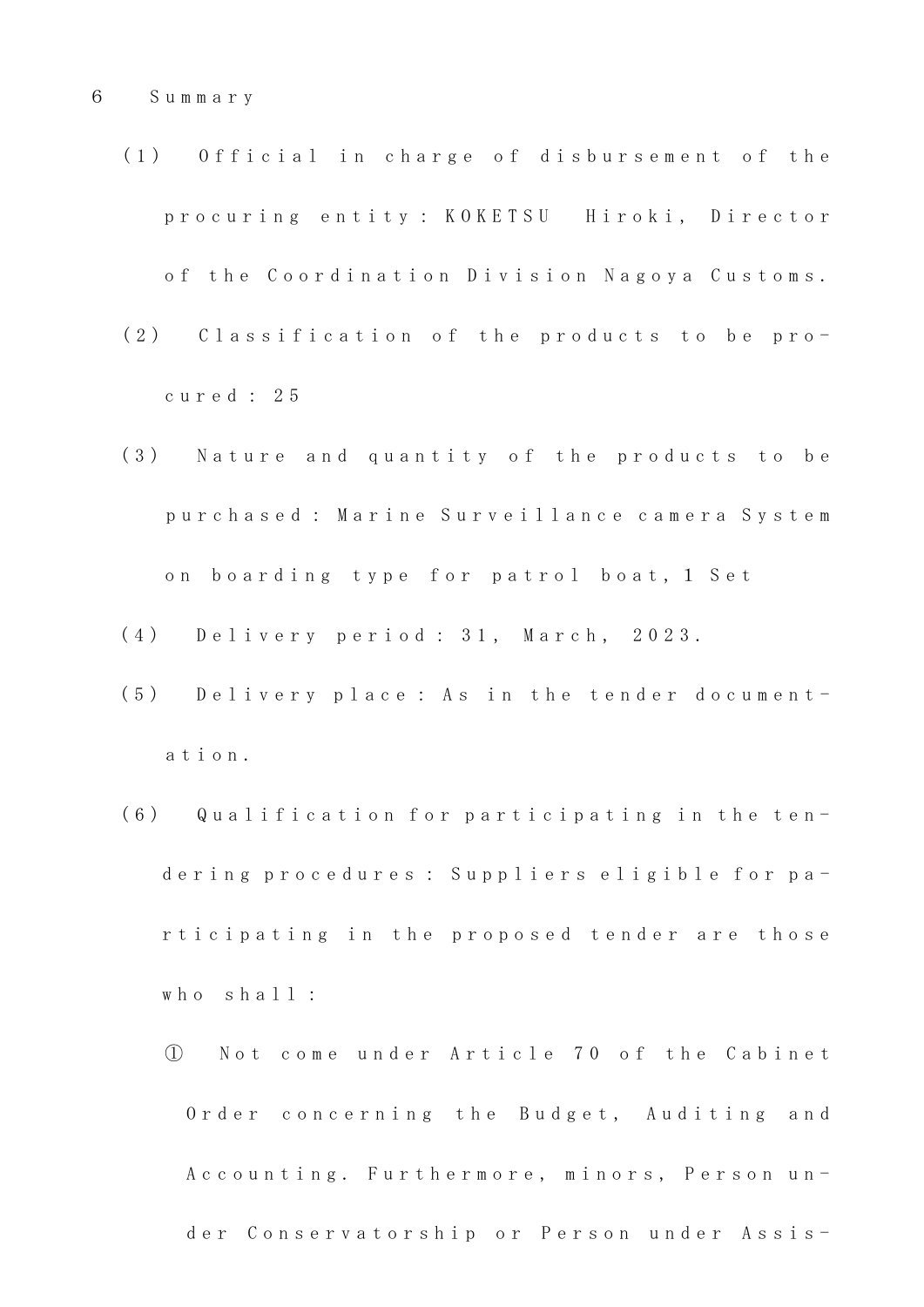- (1) Official in charge of disbursement of the p r o c u r i n g e n t i t y : K O K E T S U H i r o k i , D i r e c t o r of the Coordination Division Nagoya Customs.
- (2) Classification of the products to be proc u r e d : 2 5
- (3) Nature and quantity of the products to be p u r c h a s e d : M a r i n e S u r v e i l l a n c e c a m e r a S y s t e m on boarding type for patrol boat, 1 Set
- ( 4 ) D e l i v e r y p e r i o d : 3 1 , M a r c h , 2 0 2 3 .
- (5) Delivery place: As in the tender documenta t i o n .
- (6) Qualification for participating in the tendering procedures : Suppliers eligible for participating in the proposed tender are those who shall:
	- ① N o t c o m e u n d e r A r t i c l e 7 0 o f t h e C a b i n e t Order concerning the Budget, Auditing and A c c o u n t i n g . Furthermore, minors, Person under Conservatorship or Person under Assis-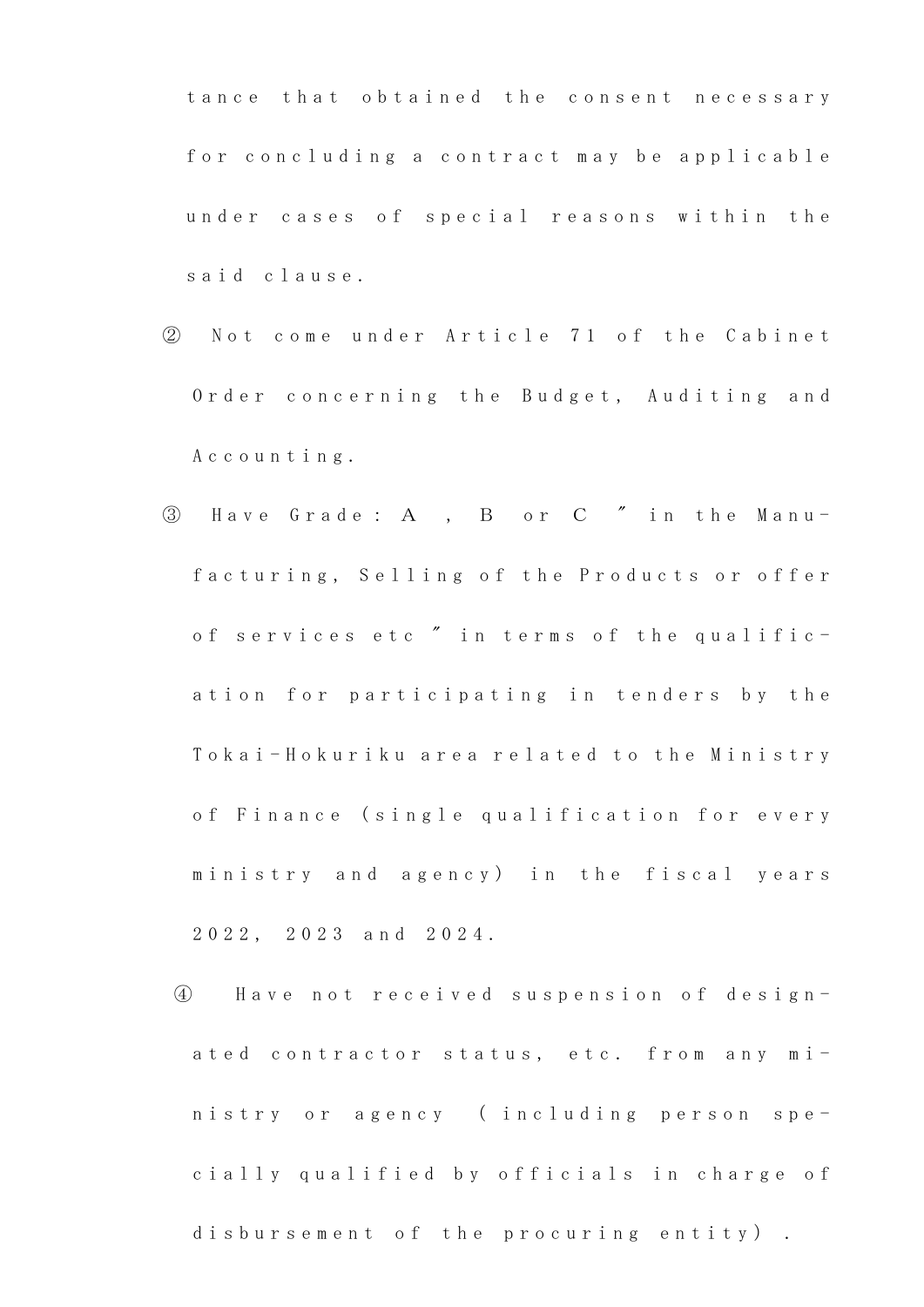tance that obtained the consent necessary for concluding a contract may be applicable under cases of special reasons within the said clause.

- ② N o t c o m e u n d e r A r t i c l e 7 1 o f t h e C a b i n e t Order concerning the Budget, Auditing and A c c o u n t i n g .
- 3 Have Grade: A, B or C " in the Manufacturing, Selling of the Products or offer of services etc " in terms of the qualification for participating in tenders by the Tokai-Hokuriku area related to the Ministry of Finance (single qualification for every ministry and agency) in the fiscal years 2 0 2 2 , 2 0 2 3 a n d 2 0 2 4 .
	- ④ H a v e n o t r e c e i v e d s u s p e n s i o n o f d e s i g n ated contractor status, etc. from any ministry or agency (including person specially qualified by officials in charge of disbursement of the procuring entity).